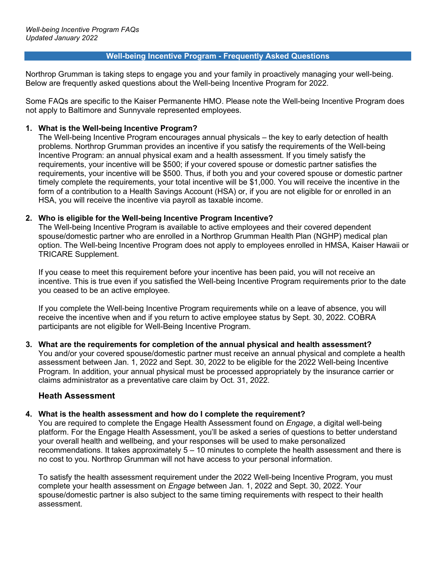#### **Well-being Incentive Program - Frequently Asked Questions**

Northrop Grumman is taking steps to engage you and your family in proactively managing your well-being. Below are frequently asked questions about the Well-being Incentive Program for 2022.

Some FAQs are specific to the Kaiser Permanente HMO. Please note the Well-being Incentive Program does not apply to Baltimore and Sunnyvale represented employees.

### **1. What is the Well-being Incentive Program?**

The Well-being Incentive Program encourages annual physicals – the key to early detection of health problems. Northrop Grumman provides an incentive if you satisfy the requirements of the Well-being Incentive Program: an annual physical exam and a health assessment. If you timely satisfy the requirements, your incentive will be \$500; if your covered spouse or domestic partner satisfies the requirements, your incentive will be \$500. Thus, if both you and your covered spouse or domestic partner timely complete the requirements, your total incentive will be \$1,000. You will receive the incentive in the form of a contribution to a Health Savings Account (HSA) or, if you are not eligible for or enrolled in an HSA, you will receive the incentive via payroll as taxable income.

### **2. Who is eligible for the Well-being Incentive Program Incentive?**

The Well-being Incentive Program is available to active employees and their covered dependent spouse/domestic partner who are enrolled in a Northrop Grumman Health Plan (NGHP) medical plan option. The Well-being Incentive Program does not apply to employees enrolled in HMSA, Kaiser Hawaii or TRICARE Supplement.

If you cease to meet this requirement before your incentive has been paid, you will not receive an incentive. This is true even if you satisfied the Well-being Incentive Program requirements prior to the date you ceased to be an active employee.

If you complete the Well-being Incentive Program requirements while on a leave of absence, you will receive the incentive when and if you return to active employee status by Sept. 30, 2022. COBRA participants are not eligible for Well-Being Incentive Program.

# **3. What are the requirements for completion of the annual physical and health assessment?**

You and/or your covered spouse/domestic partner must receive an annual physical and complete a health assessment between Jan. 1, 2022 and Sept. 30, 2022 to be eligible for the 2022 Well-being Incentive Program. In addition, your annual physical must be processed appropriately by the insurance carrier or claims administrator as a preventative care claim by Oct. 31, 2022.

# **Heath Assessment**

### **4. What is the health assessment and how do I complete the requirement?**

You are required to complete the Engage Health Assessment found on *Engage*, a digital well-being platform. For the Engage Health Assessment, you'll be asked a series of questions to better understand your overall health and wellbeing, and your responses will be used to make personalized recommendations. It takes approximately 5 – 10 minutes to complete the health assessment and there is no cost to you. Northrop Grumman will not have access to your personal information.

To satisfy the health assessment requirement under the 2022 Well-being Incentive Program, you must complete your health assessment on *Engage* between Jan. 1, 2022 and Sept. 30, 2022. Your spouse/domestic partner is also subject to the same timing requirements with respect to their health assessment.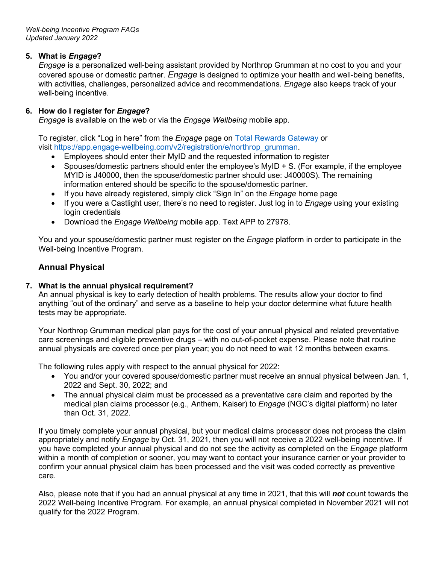## **5. What is** *Engage***?**

*Engage* is a personalized well-being assistant provided by Northrop Grumman at no cost to you and your covered spouse or domestic partner. *Engage* is designed to optimize your health and well-being benefits, with activities, challenges, personalized advice and recommendations. *Engage* also keeps track of your well-being incentive.

### **6. How do I register for** *Engage***?**

*Engage* is available on the web or via the *Engage Wellbeing* mobile app.

To register, click "Log in here" from the *Engage* page on [Total Rewards Gateway](https://totalrewards.northropgrumman.com/page/41/engage) or visit [https://app.engage-wellbeing.com/v2/registration/e/northrop\\_grumman.](https://app.engage-wellbeing.com/v2/registration/e/northrop_grumman)

- Employees should enter their MyID and the requested information to register
- Spouses/domestic partners should enter the employee's MyID + S. (For example, if the employee MYID is J40000, then the spouse/domestic partner should use: J40000S). The remaining information entered should be specific to the spouse/domestic partner.
- If you have already registered, simply click "Sign In" on the *Engage* home page
- If you were a Castlight user, there's no need to register. Just log in to *Engage* using your existing login credentials
- Download the *Engage Wellbeing* mobile app. Text APP to 27978.

You and your spouse/domestic partner must register on the *Engage* platform in order to participate in the Well-being Incentive Program.

# **Annual Physical**

## **7. What is the annual physical requirement?**

An annual physical is key to early detection of health problems. The results allow your doctor to find anything "out of the ordinary" and serve as a baseline to help your doctor determine what future health tests may be appropriate.

Your Northrop Grumman medical plan pays for the cost of your annual physical and related preventative care screenings and eligible preventive drugs – with no out-of-pocket expense. Please note that routine annual physicals are covered once per plan year; you do not need to wait 12 months between exams.

The following rules apply with respect to the annual physical for 2022:

- You and/or your covered spouse/domestic partner must receive an annual physical between Jan. 1, 2022 and Sept. 30, 2022; and
- The annual physical claim must be processed as a preventative care claim and reported by the medical plan claims processor (e.g., Anthem, Kaiser) to *Engage* (NGC's digital platform) no later than Oct. 31, 2022.

If you timely complete your annual physical, but your medical claims processor does not process the claim appropriately and notify *Engage* by Oct. 31, 2021, then you will not receive a 2022 well-being incentive. If you have completed your annual physical and do not see the activity as completed on the *Engage* platform within a month of completion or sooner, you may want to contact your insurance carrier or your provider to confirm your annual physical claim has been processed and the visit was coded correctly as preventive care.

Also, please note that if you had an annual physical at any time in 2021, that this will *not* count towards the 2022 Well-being Incentive Program. For example, an annual physical completed in November 2021 will not qualify for the 2022 Program.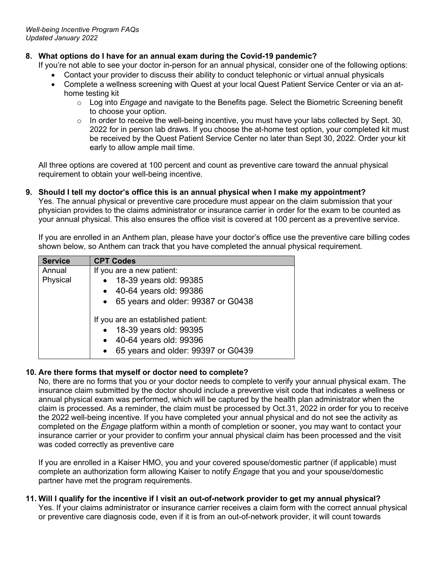# **8. What options do I have for an annual exam during the Covid-19 pandemic?**

If you're not able to see your doctor in-person for an annual physical, consider one of the following options:

- Contact your provider to discuss their ability to conduct telephonic or virtual annual physicals
- Complete a wellness screening with Quest at your local Quest Patient Service Center or via an athome testing kit
	- o Log into *Engage* and navigate to the Benefits page. Select the Biometric Screening benefit to choose your option.
	- $\circ$  In order to receive the well-being incentive, you must have your labs collected by Sept. 30, 2022 for in person lab draws. If you choose the at-home test option, your completed kit must be received by the Quest Patient Service Center no later than Sept 30, 2022. Order your kit early to allow ample mail time.

All three options are covered at 100 percent and count as preventive care toward the annual physical requirement to obtain your well-being incentive.

#### **9. Should I tell my doctor's office this is an annual physical when I make my appointment?**  Yes. The annual physical or preventive care procedure must appear on the claim submission that your physician provides to the claims administrator or insurance carrier in order for the exam to be counted as your annual physical. This also ensures the office visit is covered at 100 percent as a preventive service.

If you are enrolled in an Anthem plan, please have your doctor's office use the preventive care billing codes shown below, so Anthem can track that you have completed the annual physical requirement.

| <b>Service</b>     | <b>CPT Codes</b>                                                                                                             |
|--------------------|------------------------------------------------------------------------------------------------------------------------------|
| Annual<br>Physical | If you are a new patient:<br>18-39 years old: 99385                                                                          |
|                    | 40-64 years old: 99386<br>• 65 years and older: 99387 or G0438                                                               |
|                    | If you are an established patient:<br>18-39 years old: 99395<br>40-64 years old: 99396<br>65 years and older: 99397 or G0439 |

# **10. Are there forms that myself or doctor need to complete?**

No, there are no forms that you or your doctor needs to complete to verify your annual physical exam. The insurance claim submitted by the doctor should include a preventive visit code that indicates a wellness or annual physical exam was performed, which will be captured by the health plan administrator when the claim is processed. As a reminder, the claim must be processed by Oct.31, 2022 in order for you to receive the 2022 well-being incentive. If you have completed your annual physical and do not see the activity as completed on the *Engage* platform within a month of completion or sooner, you may want to contact your insurance carrier or your provider to confirm your annual physical claim has been processed and the visit was coded correctly as preventive care

If you are enrolled in a Kaiser HMO, you and your covered spouse/domestic partner (if applicable) must complete an authorization form allowing Kaiser to notify *Engage* that you and your spouse/domestic partner have met the program requirements.

# **11. Will I qualify for the incentive if I visit an out-of-network provider to get my annual physical?**

Yes. If your claims administrator or insurance carrier receives a claim form with the correct annual physical or preventive care diagnosis code, even if it is from an out-of-network provider, it will count towards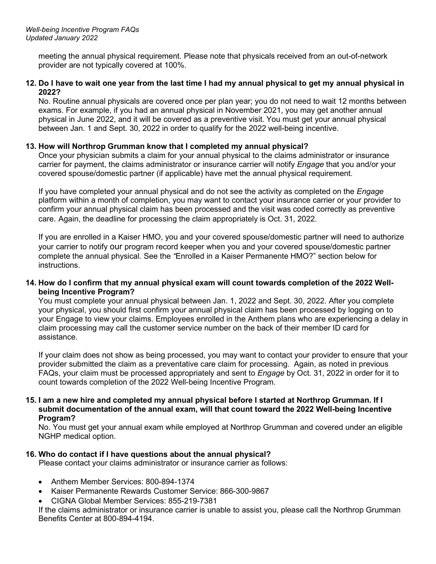meeting the annual physical requirement. Please note that physicals received from an out-of-network provider are not typically covered at 100%.

#### **12. Do I have to wait one year from the last time I had my annual physical to get my annual physical in 2022?**

No. Routine annual physicals are covered once per plan year; you do not need to wait 12 months between exams. For example, if you had an annual physical in November 2021, you may get another annual physical in June 2022, and it will be covered as a preventive visit. You must get your annual physical between Jan. 1 and Sept. 30, 2022 in order to qualify for the 2022 well-being incentive.

### **13. How will Northrop Grumman know that I completed my annual physical?**

Once your physician submits a claim for your annual physical to the claims administrator or insurance carrier for payment, the claims administrator or insurance carrier will notify *Engage* that you and/or your covered spouse/domestic partner (if applicable) have met the annual physical requirement.

If you have completed your annual physical and do not see the activity as completed on the *Engage* platform within a month of completion, you may want to contact your insurance carrier or your provider to confirm your annual physical claim has been processed and the visit was coded correctly as preventive care. Again, the deadline for processing the claim appropriately is Oct. 31, 2022.

If you are enrolled in a Kaiser HMO, you and your covered spouse/domestic partner will need to authorize your carrier to notify our program record keeper when you and your covered spouse/domestic partner complete the annual physical. See the *"*Enrolled in a Kaiser Permanente HMO?" section below for instructions.

#### **14. How do I confirm that my annual physical exam will count towards completion of the 2022 Wellbeing Incentive Program?**

You must complete your annual physical between Jan. 1, 2022 and Sept. 30, 2022. After you complete your physical, you should first confirm your annual physical claim has been processed by logging on to your Engage to view your claims. Employees enrolled in the Anthem plans who are experiencing a delay in claim processing may call the customer service number on the back of their member ID card for assistance.

If your claim does not show as being processed, you may want to contact your provider to ensure that your provider submitted the claim as a preventative care claim for processing. Again, as noted in previous FAQs, your claim must be processed appropriately and sent to *Engage* by Oct. 31, 2022 in order for it to count towards completion of the 2022 Well-being Incentive Program.

#### **15. I am a new hire and completed my annual physical before I started at Northrop Grumman. If I submit documentation of the annual exam, will that count toward the 2022 Well-being Incentive Program?**

No. You must get your annual exam while employed at Northrop Grumman and covered under an eligible NGHP medical option.

### **16. Who do contact if I have questions about the annual physical?**

Please contact your claims administrator or insurance carrier as follows:

- Anthem Member Services: 800-894-1374
- Kaiser Permanente Rewards Customer Service: 866-300-9867
- CIGNA Global Member Services: 855-219-7381

If the claims administrator or insurance carrier is unable to assist you, please call the Northrop Grumman Benefits Center at 800-894-4194.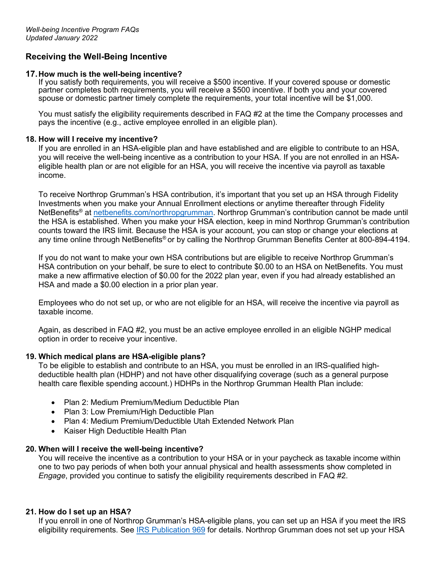# **Receiving the Well-Being Incentive**

#### **17.How much is the well-being incentive?**

If you satisfy both requirements, you will receive a \$500 incentive. If your covered spouse or domestic partner completes both requirements, you will receive a \$500 incentive. If both you and your covered spouse or domestic partner timely complete the requirements, your total incentive will be \$1,000.

You must satisfy the eligibility requirements described in FAQ #2 at the time the Company processes and pays the incentive (e.g., active employee enrolled in an eligible plan).

#### **18. How will I receive my incentive?**

If you are enrolled in an HSA-eligible plan and have established and are eligible to contribute to an HSA, you will receive the well-being incentive as a contribution to your HSA. If you are not enrolled in an HSAeligible health plan or are not eligible for an HSA, you will receive the incentive via payroll as taxable income.

To receive Northrop Grumman's HSA contribution, it's important that you set up an HSA through Fidelity Investments when you make your Annual Enrollment elections or anytime thereafter through Fidelity NetBenefits® at [netbenefits.com/northropgrumman.](https://nb.fidelity.com/public/nb/default/home) Northrop Grumman's contribution cannot be made until the HSA is established. When you make your HSA election, keep in mind Northrop Grumman's contribution counts toward the IRS limit. Because the HSA is your account, you can stop or change your elections at any time online through NetBenefits® or by calling the Northrop Grumman Benefits Center at 800-894-4194.

If you do not want to make your own HSA contributions but are eligible to receive Northrop Grumman's HSA contribution on your behalf, be sure to elect to contribute \$0.00 to an HSA on NetBenefits. You must make a new affirmative election of \$0.00 for the 2022 plan year, even if you had already established an HSA and made a \$0.00 election in a prior plan year.

Employees who do not set up, or who are not eligible for an HSA, will receive the incentive via payroll as taxable income.

Again, as described in FAQ #2, you must be an active employee enrolled in an eligible NGHP medical option in order to receive your incentive.

### **19. Which medical plans are HSA-eligible plans?**

To be eligible to establish and contribute to an HSA, you must be enrolled in an IRS-qualified highdeductible health plan (HDHP) and not have other disqualifying coverage (such as a general purpose health care flexible spending account.) HDHPs in the Northrop Grumman Health Plan include:

- Plan 2: Medium Premium/Medium Deductible Plan
- Plan 3: Low Premium/High Deductible Plan
- Plan 4: Medium Premium/Deductible Utah Extended Network Plan
- Kaiser High Deductible Health Plan

### **20. When will I receive the well-being incentive?**

You will receive the incentive as a contribution to your HSA or in your paycheck as taxable income within one to two pay periods of when both your annual physical and health assessments show completed in *Engage*, provided you continue to satisfy the eligibility requirements described in FAQ #2.

### **21. How do I set up an HSA?**

If you enroll in one of Northrop Grumman's HSA-eligible plans, you can set up an HSA if you meet the IRS eligibility requirements. See [IRS Publication 969](https://www.irs.gov/pub/irs-pdf/p969.pdf) for details. Northrop Grumman does not set up your HSA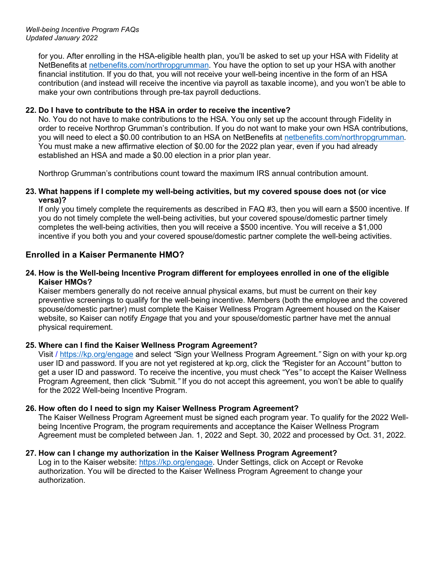for you. After enrolling in the HSA-eligible health plan, you'll be asked to set up your HSA with Fidelity at NetBenefits at [netbenefits.com/northropgrumman.](https://nb.fidelity.com/public/nb/default/home) You have the option to set up your HSA with another financial institution. If you do that, you will not receive your well-being incentive in the form of an HSA contribution (and instead will receive the incentive via payroll as taxable income), and you won't be able to make your own contributions through pre-tax payroll deductions.

## **22. Do I have to contribute to the HSA in order to receive the incentive?**

No. You do not have to make contributions to the HSA. You only set up the account through Fidelity in order to receive Northrop Grumman's contribution. If you do not want to make your own HSA contributions, you will need to elect a \$0.00 contribution to an HSA on NetBenefits at [netbenefits.com/northropgrumman](https://nb.fidelity.com/public/nb/default/home)*.* You must make a new affirmative election of \$0.00 for the 2022 plan year, even if you had already established an HSA and made a \$0.00 election in a prior plan year.

Northrop Grumman's contributions count toward the maximum IRS annual contribution amount.

### **23. What happens if I complete my well-being activities, but my covered spouse does not (or vice versa)?**

If only you timely complete the requirements as described in FAQ #3, then you will earn a \$500 incentive. If you do not timely complete the well-being activities, but your covered spouse/domestic partner timely completes the well-being activities, then you will receive a \$500 incentive. You will receive a \$1,000 incentive if you both you and your covered spouse/domestic partner complete the well-being activities.

# **Enrolled in a Kaiser Permanente HMO?**

### **24. How is the Well-being Incentive Program different for employees enrolled in one of the eligible Kaiser HMOs?**

Kaiser members generally do not receive annual physical exams, but must be current on their key preventive screenings to qualify for the well-being incentive. Members (both the employee and the covered spouse/domestic partner) must complete the Kaiser Wellness Program Agreement housed on the Kaiser website, so Kaiser can notify *Engage* that you and your spouse/domestic partner have met the annual physical requirement.

# **25. Where can I find the Kaiser Wellness Program Agreement?**

Visit /<https://kp.org/engage> and select *"*Sign your Wellness Program Agreement.*"* Sign on with your kp.org user ID and password. If you are not yet registered at kp.org, click the *"*Register for an Account*"* button to get a user ID and password. To receive the incentive, you must check "Yes*"* to accept the Kaiser Wellness Program Agreement, then click *"*Submit*."* If you do not accept this agreement, you won't be able to qualify for the 2022 Well-being Incentive Program.

# **26. How often do I need to sign my Kaiser Wellness Program Agreement?**

The Kaiser Wellness Program Agreement must be signed each program year. To qualify for the 2022 Wellbeing Incentive Program, the program requirements and acceptance the Kaiser Wellness Program Agreement must be completed between Jan. 1, 2022 and Sept. 30, 2022 and processed by Oct. 31, 2022.

# **27. How can I change my authorization in the Kaiser Wellness Program Agreement?**

Log in to the Kaiser website: [https://kp.org/engage.](https://kp.org/engage) Under Settings, click on Accept or Revoke authorization. You will be directed to the Kaiser Wellness Program Agreement to change your authorization.